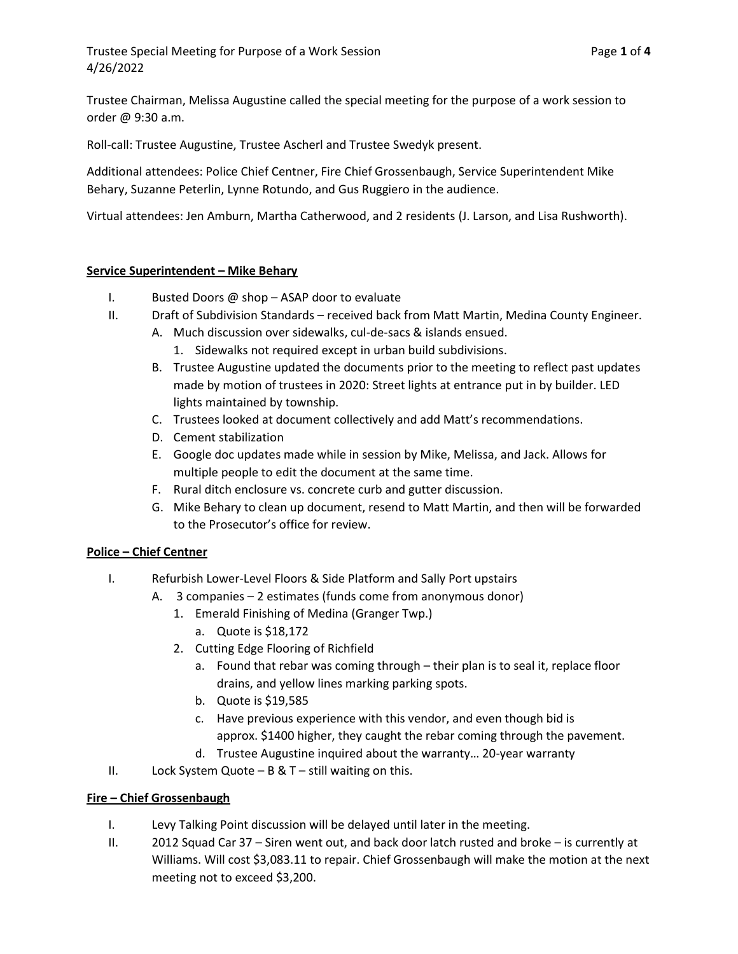Trustee Chairman, Melissa Augustine called the special meeting for the purpose of a work session to order @ 9:30 a.m.

Roll-call: Trustee Augustine, Trustee Ascherl and Trustee Swedyk present.

Additional attendees: Police Chief Centner, Fire Chief Grossenbaugh, Service Superintendent Mike Behary, Suzanne Peterlin, Lynne Rotundo, and Gus Ruggiero in the audience.

Virtual attendees: Jen Amburn, Martha Catherwood, and 2 residents (J. Larson, and Lisa Rushworth).

# Service Superintendent – Mike Behary

- I. Busted Doors @ shop ASAP door to evaluate
- II. Draft of Subdivision Standards received back from Matt Martin, Medina County Engineer.
	- A. Much discussion over sidewalks, cul-de-sacs & islands ensued.
		- 1. Sidewalks not required except in urban build subdivisions.
	- B. Trustee Augustine updated the documents prior to the meeting to reflect past updates made by motion of trustees in 2020: Street lights at entrance put in by builder. LED lights maintained by township.
	- C. Trustees looked at document collectively and add Matt's recommendations.
	- D. Cement stabilization
	- E. Google doc updates made while in session by Mike, Melissa, and Jack. Allows for multiple people to edit the document at the same time.
	- F. Rural ditch enclosure vs. concrete curb and gutter discussion.
	- G. Mike Behary to clean up document, resend to Matt Martin, and then will be forwarded to the Prosecutor's office for review.

## Police – Chief Centner

- I. Refurbish Lower-Level Floors & Side Platform and Sally Port upstairs
	- A. 3 companies 2 estimates (funds come from anonymous donor)
		- 1. Emerald Finishing of Medina (Granger Twp.)
			- a. Quote is \$18,172
		- 2. Cutting Edge Flooring of Richfield
			- a. Found that rebar was coming through their plan is to seal it, replace floor drains, and yellow lines marking parking spots.
			- b. Quote is \$19,585
			- c. Have previous experience with this vendor, and even though bid is approx. \$1400 higher, they caught the rebar coming through the pavement.
		- d. Trustee Augustine inquired about the warranty… 20-year warranty
- II. Lock System Quote  $B & T$  still waiting on this.

## Fire – Chief Grossenbaugh

- I. Levy Talking Point discussion will be delayed until later in the meeting.
- II. 2012 Squad Car 37 Siren went out, and back door latch rusted and broke is currently at Williams. Will cost \$3,083.11 to repair. Chief Grossenbaugh will make the motion at the next meeting not to exceed \$3,200.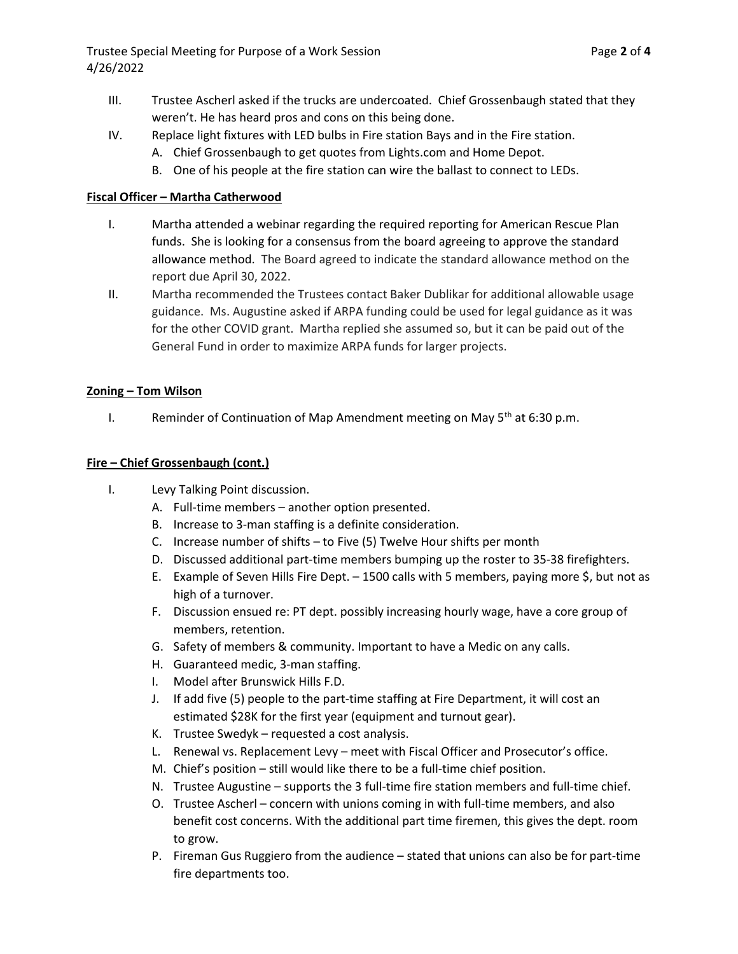Trustee Special Meeting for Purpose of a Work Session **Page 2 of 4** Page 2 of 4 4/26/2022

- III. Trustee Ascherl asked if the trucks are undercoated. Chief Grossenbaugh stated that they weren't. He has heard pros and cons on this being done.
- IV. Replace light fixtures with LED bulbs in Fire station Bays and in the Fire station.
	- A. Chief Grossenbaugh to get quotes from Lights.com and Home Depot.
	- B. One of his people at the fire station can wire the ballast to connect to LEDs.

## Fiscal Officer – Martha Catherwood

- I. Martha attended a webinar regarding the required reporting for American Rescue Plan funds. She is looking for a consensus from the board agreeing to approve the standard allowance method. The Board agreed to indicate the standard allowance method on the report due April 30, 2022.
- II. Martha recommended the Trustees contact Baker Dublikar for additional allowable usage guidance. Ms. Augustine asked if ARPA funding could be used for legal guidance as it was for the other COVID grant. Martha replied she assumed so, but it can be paid out of the General Fund in order to maximize ARPA funds for larger projects.

#### Zoning – Tom Wilson

I. Reminder of Continuation of Map Amendment meeting on May  $5<sup>th</sup>$  at 6:30 p.m.

#### Fire – Chief Grossenbaugh (cont.)

- I. Levy Talking Point discussion.
	- A. Full-time members another option presented.
	- B. Increase to 3-man staffing is a definite consideration.
	- C. Increase number of shifts to Five (5) Twelve Hour shifts per month
	- D. Discussed additional part-time members bumping up the roster to 35-38 firefighters.
	- E. Example of Seven Hills Fire Dept. 1500 calls with 5 members, paying more \$, but not as high of a turnover.
	- F. Discussion ensued re: PT dept. possibly increasing hourly wage, have a core group of members, retention.
	- G. Safety of members & community. Important to have a Medic on any calls.
	- H. Guaranteed medic, 3-man staffing.
	- I. Model after Brunswick Hills F.D.
	- J. If add five (5) people to the part-time staffing at Fire Department, it will cost an estimated \$28K for the first year (equipment and turnout gear).
	- K. Trustee Swedyk requested a cost analysis.
	- L. Renewal vs. Replacement Levy meet with Fiscal Officer and Prosecutor's office.
	- M. Chief's position still would like there to be a full-time chief position.
	- N. Trustee Augustine supports the 3 full-time fire station members and full-time chief.
	- O. Trustee Ascherl concern with unions coming in with full-time members, and also benefit cost concerns. With the additional part time firemen, this gives the dept. room to grow.
	- P. Fireman Gus Ruggiero from the audience stated that unions can also be for part-time fire departments too.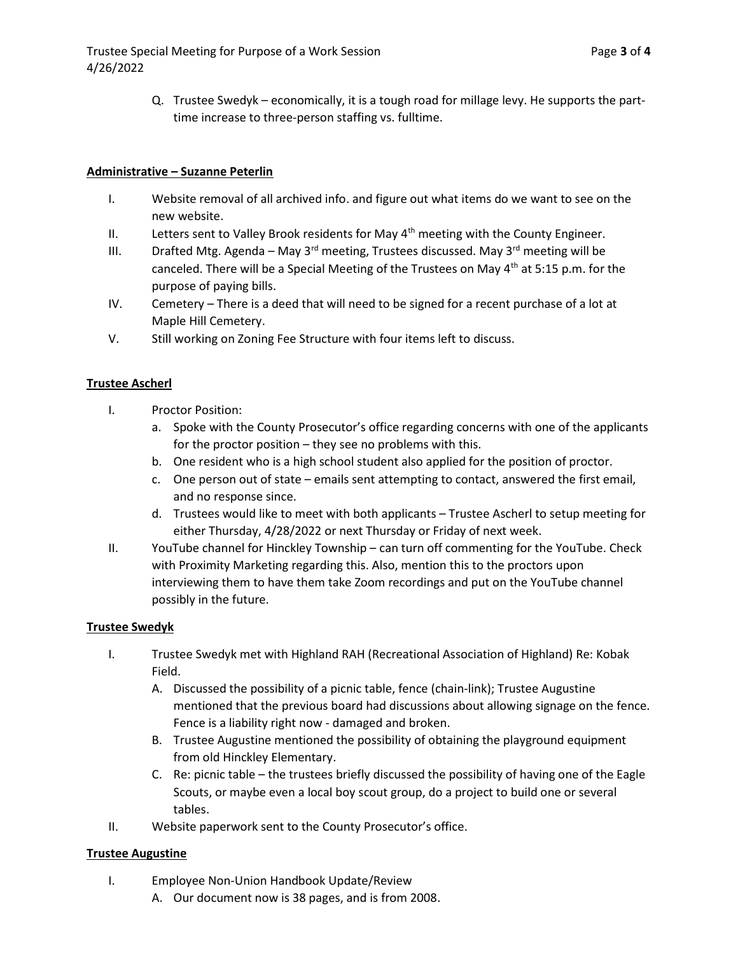Q. Trustee Swedyk – economically, it is a tough road for millage levy. He supports the parttime increase to three-person staffing vs. fulltime.

# Administrative – Suzanne Peterlin

- I. Website removal of all archived info. and figure out what items do we want to see on the new website.
- II. Letters sent to Valley Brook residents for May  $4<sup>th</sup>$  meeting with the County Engineer.
- III. Drafted Mtg. Agenda May 3<sup>rd</sup> meeting, Trustees discussed. May 3<sup>rd</sup> meeting will be canceled. There will be a Special Meeting of the Trustees on May  $4<sup>th</sup>$  at 5:15 p.m. for the purpose of paying bills.
- IV. Cemetery There is a deed that will need to be signed for a recent purchase of a lot at Maple Hill Cemetery.
- V. Still working on Zoning Fee Structure with four items left to discuss.

# Trustee Ascherl

- I. Proctor Position:
	- a. Spoke with the County Prosecutor's office regarding concerns with one of the applicants for the proctor position – they see no problems with this.
	- b. One resident who is a high school student also applied for the position of proctor.
	- c. One person out of state emails sent attempting to contact, answered the first email, and no response since.
	- d. Trustees would like to meet with both applicants Trustee Ascherl to setup meeting for either Thursday, 4/28/2022 or next Thursday or Friday of next week.
- II. YouTube channel for Hinckley Township can turn off commenting for the YouTube. Check with Proximity Marketing regarding this. Also, mention this to the proctors upon interviewing them to have them take Zoom recordings and put on the YouTube channel possibly in the future.

## Trustee Swedyk

- I. Trustee Swedyk met with Highland RAH (Recreational Association of Highland) Re: Kobak Field.
	- A. Discussed the possibility of a picnic table, fence (chain-link); Trustee Augustine mentioned that the previous board had discussions about allowing signage on the fence. Fence is a liability right now - damaged and broken.
	- B. Trustee Augustine mentioned the possibility of obtaining the playground equipment from old Hinckley Elementary.
	- C. Re: picnic table the trustees briefly discussed the possibility of having one of the Eagle Scouts, or maybe even a local boy scout group, do a project to build one or several tables.
- II. Website paperwork sent to the County Prosecutor's office.

# Trustee Augustine

- I. Employee Non-Union Handbook Update/Review
	- A. Our document now is 38 pages, and is from 2008.